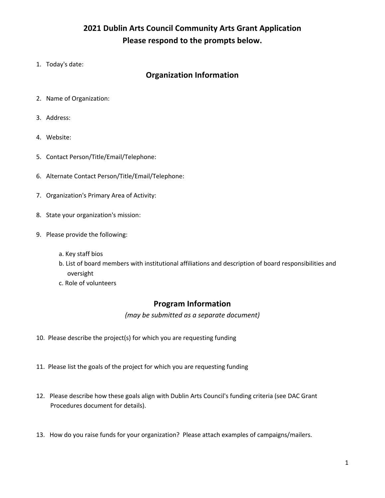# **2021 Dublin Arts Council Community Arts Grant Application Please respond to the prompts below.**

1. Today's date:

### **Organization Information**

- 2. Name of Organization:
- 3. Address:
- 4. Website:
- 5. Contact Person/Title/Email/Telephone:
- 6. Alternate Contact Person/Title/Email/Telephone:
- 7. Organization's Primary Area of Activity:
- 8. State your organization's mission:
- 9. Please provide the following:
	- a. Key staff bios
	- b. List of board members with institutional affiliations and description of board responsibilities and oversight
	- c. Role of volunteers

#### **Program Information**

*(may be submitted as a separate document)*

- 10. Please describe the project(s) for which you are requesting funding
- 11. Please list the goals of the project for which you are requesting funding
- 12. Please describe how these goals align with Dublin Arts Council's funding criteria (see DAC Grant Procedures document for details).
- 13. How do you raise funds for your organization? Please attach examples of campaigns/mailers.